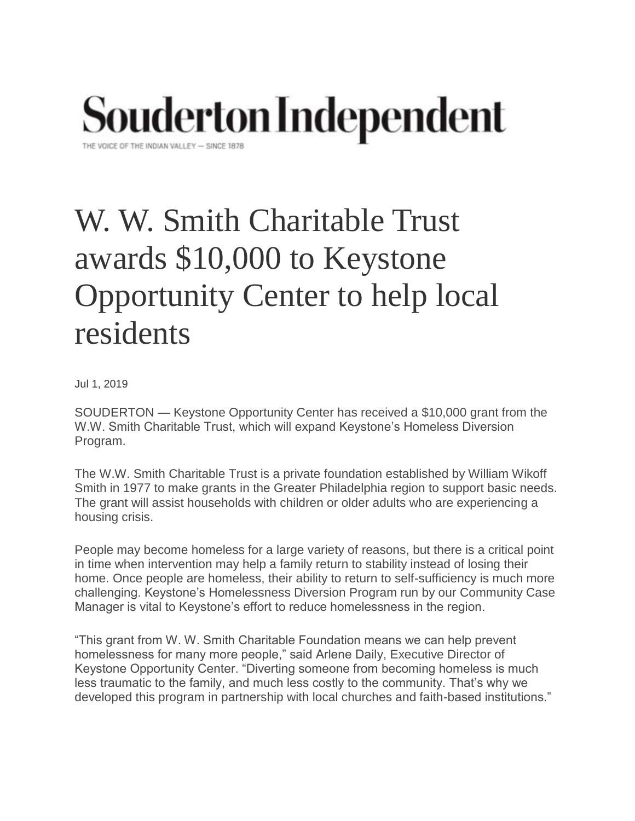## **Souderton Independent**

THE VOICE OF THE INDIAN VALLEY - SINCE 1878

## W. W. Smith Charitable Trust awards \$10,000 to Keystone Opportunity Center to help local residents

Jul 1, 2019

SOUDERTON — Keystone Opportunity Center has received a \$10,000 grant from the W.W. Smith Charitable Trust, which will expand Keystone's Homeless Diversion Program.

The W.W. Smith Charitable Trust is a private foundation established by William Wikoff Smith in 1977 to make grants in the Greater Philadelphia region to support basic needs. The grant will assist households with children or older adults who are experiencing a housing crisis.

People may become homeless for a large variety of reasons, but there is a critical point in time when intervention may help a family return to stability instead of losing their home. Once people are homeless, their ability to return to self-sufficiency is much more challenging. Keystone's Homelessness Diversion Program run by our Community Case Manager is vital to Keystone's effort to reduce homelessness in the region.

"This grant from W. W. Smith Charitable Foundation means we can help prevent homelessness for many more people," said Arlene Daily, Executive Director of Keystone Opportunity Center. "Diverting someone from becoming homeless is much less traumatic to the family, and much less costly to the community. That's why we developed this program in partnership with local churches and faith-based institutions."